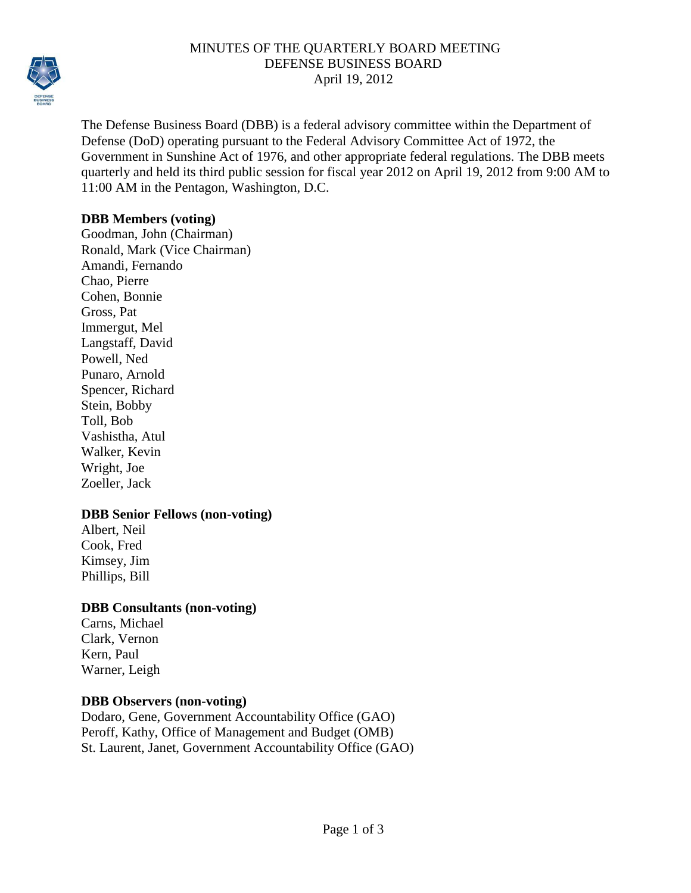

## MINUTES OF THE QUARTERLY BOARD MEETING DEFENSE BUSINESS BOARD April 19, 2012

The Defense Business Board (DBB) is a federal advisory committee within the Department of Defense (DoD) operating pursuant to the Federal Advisory Committee Act of 1972, the Government in Sunshine Act of 1976, and other appropriate federal regulations. The DBB meets quarterly and held its third public session for fiscal year 2012 on April 19, 2012 from 9:00 AM to 11:00 AM in the Pentagon, Washington, D.C.

## **DBB Members (voting)**

Goodman, John (Chairman) Ronald, Mark (Vice Chairman) Amandi, Fernando Chao, Pierre Cohen, Bonnie Gross, Pat Immergut, Mel Langstaff, David Powell, Ned Punaro, Arnold Spencer, Richard Stein, Bobby Toll, Bob Vashistha, Atul Walker, Kevin Wright, Joe Zoeller, Jack

## **DBB Senior Fellows (non-voting)**

Albert, Neil Cook, Fred Kimsey, Jim Phillips, Bill

## **DBB Consultants (non-voting)**

Carns, Michael Clark, Vernon Kern, Paul Warner, Leigh

## **DBB Observers (non-voting)**

Dodaro, Gene, Government Accountability Office (GAO) Peroff, Kathy, Office of Management and Budget (OMB) St. Laurent, Janet, Government Accountability Office (GAO)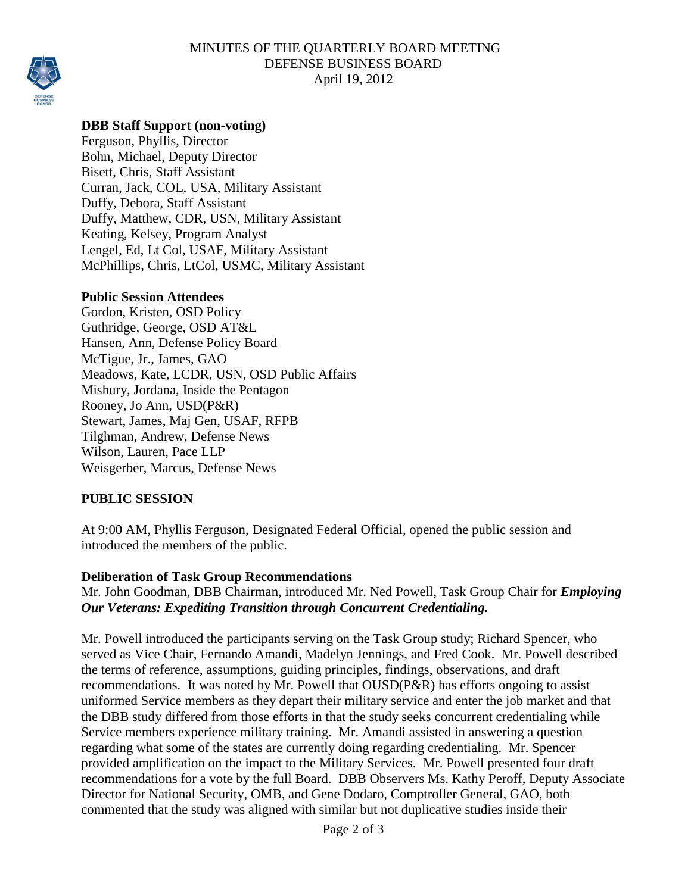### MINUTES OF THE QUARTERLY BOARD MEETING DEFENSE BUSINESS BOARD April 19, 2012



# **DBB Staff Support (non-voting)**

Ferguson, Phyllis, Director Bohn, Michael, Deputy Director Bisett, Chris, Staff Assistant Curran, Jack, COL, USA, Military Assistant Duffy, Debora, Staff Assistant Duffy, Matthew, CDR, USN, Military Assistant Keating, Kelsey, Program Analyst Lengel, Ed, Lt Col, USAF, Military Assistant McPhillips, Chris, LtCol, USMC, Military Assistant

#### **Public Session Attendees**

Gordon, Kristen, OSD Policy Guthridge, George, OSD AT&L Hansen, Ann, Defense Policy Board McTigue, Jr., James, GAO Meadows, Kate, LCDR, USN, OSD Public Affairs Mishury, Jordana, Inside the Pentagon Rooney, Jo Ann, USD(P&R) Stewart, James, Maj Gen, USAF, RFPB Tilghman, Andrew, Defense News Wilson, Lauren, Pace LLP Weisgerber, Marcus, Defense News

## **PUBLIC SESSION**

At 9:00 AM, Phyllis Ferguson, Designated Federal Official, opened the public session and introduced the members of the public.

## **Deliberation of Task Group Recommendations**

Mr. John Goodman, DBB Chairman, introduced Mr. Ned Powell, Task Group Chair for *Employing Our Veterans: Expediting Transition through Concurrent Credentialing.*

Mr. Powell introduced the participants serving on the Task Group study; Richard Spencer, who served as Vice Chair, Fernando Amandi, Madelyn Jennings, and Fred Cook. Mr. Powell described the terms of reference, assumptions, guiding principles, findings, observations, and draft recommendations. It was noted by Mr. Powell that OUSD(P&R) has efforts ongoing to assist uniformed Service members as they depart their military service and enter the job market and that the DBB study differed from those efforts in that the study seeks concurrent credentialing while Service members experience military training. Mr. Amandi assisted in answering a question regarding what some of the states are currently doing regarding credentialing. Mr. Spencer provided amplification on the impact to the Military Services. Mr. Powell presented four draft recommendations for a vote by the full Board. DBB Observers Ms. Kathy Peroff, Deputy Associate Director for National Security, OMB, and Gene Dodaro, Comptroller General, GAO, both commented that the study was aligned with similar but not duplicative studies inside their